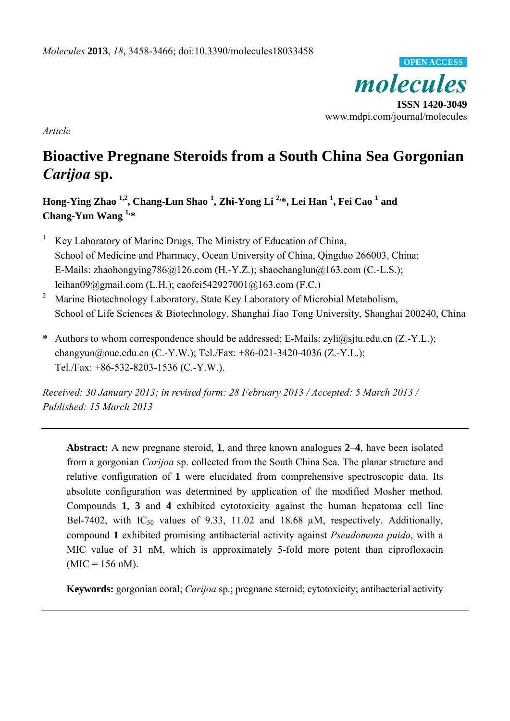

*Article*

# **Bioactive Pregnane Steroids from a South China Sea Gorgonian**  *Carijoa* **sp.**

**Hong-Ying Zhao 1,2, Chang-Lun Shao 1 , Zhi-Yong Li 2,\*, Lei Han 1 , Fei Cao 1 and Chang-Yun Wang 1,\*** 

- 1 Key Laboratory of Marine Drugs, The Ministry of Education of China, School of Medicine and Pharmacy, Ocean University of China, Qingdao 266003, China; E-Mails: zhaohongying786@126.com (H.-Y.Z.); shaochanglun@163.com (C.-L.S.); leihan09@gmail.com (L.H.); caofei542927001@163.com (F.C.)
- 2 Marine Biotechnology Laboratory, State Key Laboratory of Microbial Metabolism, School of Life Sciences & Biotechnology, Shanghai Jiao Tong University, Shanghai 200240, China
- **\*** Authors to whom correspondence should be addressed; E-Mails: zyli@sjtu.edu.cn (Z.-Y.L.); changyun@ouc.edu.cn (C.-Y.W.); Tel./Fax: +86-021-3420-4036 (Z.-Y.L.); Tel./Fax: +86-532-8203-1536 (C.-Y.W.).

*Received: 30 January 2013; in revised form: 28 February 2013 / Accepted: 5 March 2013 / Published: 15 March 2013* 

**Abstract:** A new pregnane steroid, **1**, and three known analogues **2**–**4**, have been isolated from a gorgonian *Carijoa* sp. collected from the South China Sea. The planar structure and relative configuration of **1** were elucidated from comprehensive spectroscopic data. Its absolute configuration was determined by application of the modified Mosher method. Compounds **1**, **3** and **4** exhibited cytotoxicity against the human hepatoma cell line Bel-7402, with  $IC_{50}$  values of 9.33, 11.02 and 18.68  $\mu$ M, respectively. Additionally, compound **1** exhibited promising antibacterial activity against *Pseudomona puido*, with a MIC value of 31 nM, which is approximately 5-fold more potent than ciprofloxacin  $(MIC = 156$  nM).

**Keywords:** gorgonian coral; *Carijoa* sp.; pregnane steroid; cytotoxicity; antibacterial activity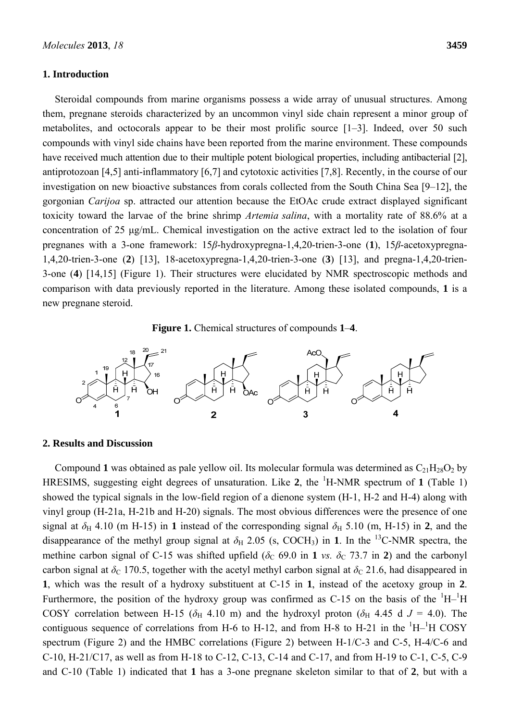## **1. Introduction**

Steroidal compounds from marine organisms possess a wide array of unusual structures. Among them, pregnane steroids characterized by an uncommon vinyl side chain represent a minor group of metabolites, and octocorals appear to be their most prolific source [1–3]. Indeed, over 50 such compounds with vinyl side chains have been reported from the marine environment. These compounds have received much attention due to their multiple potent biological properties, including antibacterial [2], antiprotozoan [4,5] anti-inflammatory [6,7] and cytotoxic activities [7,8]. Recently, in the course of our investigation on new bioactive substances from corals collected from the South China Sea [9–12], the gorgonian *Carijoa* sp. attracted our attention because the EtOAc crude extract displayed significant toxicity toward the larvae of the brine shrimp *Artemia salina*, with a mortality rate of 88.6% at a concentration of 25 μg/mL. Chemical investigation on the active extract led to the isolation of four pregnanes with a 3-one framework: 15*β*-hydroxypregna-1,4,20-trien-3-one (**1**), 15*β*-acetoxypregna-1,4,20-trien-3-one (**2**) [13], 18-acetoxypregna-1,4,20-trien-3-one (**3**) [13], and pregna-1,4,20-trien-3-one (**4**) [14,15] (Figure 1). Their structures were elucidated by NMR spectroscopic methods and comparison with data previously reported in the literature. Among these isolated compounds, **1** is a new pregnane steroid.





# **2. Results and Discussion**

Compound 1 was obtained as pale yellow oil. Its molecular formula was determined as  $C_{21}H_{28}O_2$  by HRESIMS, suggesting eight degrees of unsaturation. Like 2, the <sup>1</sup>H-NMR spectrum of 1 (Table 1) showed the typical signals in the low-field region of a dienone system (H-1, H-2 and H-4) along with vinyl group (H-21a, H-21b and H-20) signals. The most obvious differences were the presence of one signal at  $\delta_H$  4.10 (m H-15) in 1 instead of the corresponding signal  $\delta_H$  5.10 (m, H-15) in 2, and the disappearance of the methyl group signal at  $\delta_H$  2.05 (s, COCH<sub>3</sub>) in **1**. In the <sup>13</sup>C-NMR spectra, the methine carbon signal of C-15 was shifted upfield ( $\delta$ C 69.0 in 1 *vs.*  $\delta$ C 73.7 in 2) and the carbonyl carbon signal at  $\delta_c$  170.5, together with the acetyl methyl carbon signal at  $\delta_c$  21.6, had disappeared in **1**, which was the result of a hydroxy substituent at C-15 in **1**, instead of the acetoxy group in **2**. Furthermore, the position of the hydroxy group was confirmed as C-15 on the basis of the  $\rm ^1H-^1H$ COSY correlation between H-15 ( $\delta$ H 4.10 m) and the hydroxyl proton ( $\delta$ H 4.45 d *J* = 4.0). The contiguous sequence of correlations from H-6 to H-12, and from H-8 to H-21 in the  $\mathrm{^{1}H-^{1}H}$  COSY spectrum (Figure 2) and the HMBC correlations (Figure 2) between H-1/C-3 and C-5, H-4/C-6 and C-10, H-21/C17, as well as from H-18 to C-12, C-13, C-14 and C-17, and from H-19 to C-1, C-5, C-9 and C-10 (Table 1) indicated that **1** has a 3-one pregnane skeleton similar to that of **2**, but with a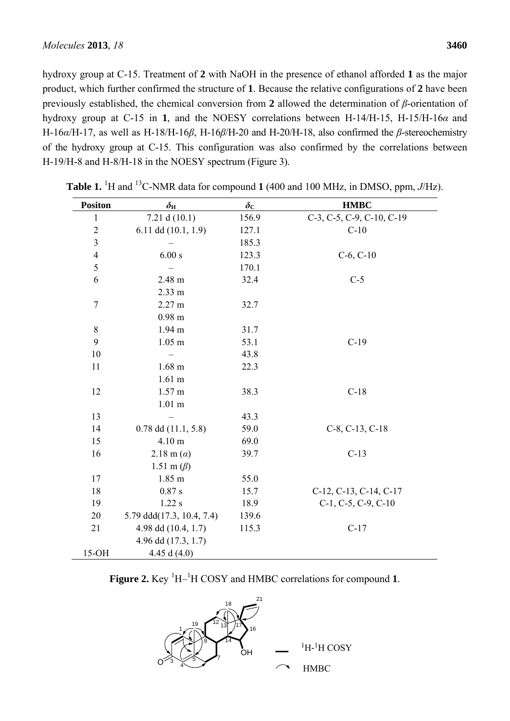hydroxy group at C-15. Treatment of **2** with NaOH in the presence of ethanol afforded **1** as the major product, which further confirmed the structure of **1**. Because the relative configurations of **2** have been previously established, the chemical conversion from **2** allowed the determination of *β*-orientation of hydroxy group at C-15 in **1**, and the NOESY correlations between H-14/H-15, H-15/H-16*α* and H-16*α*/H-17, as well as H-18/H-16*β*, H-16*β*/H-20 and H-20/H-18, also confirmed the *β*-stereochemistry of the hydroxy group at C-15. This configuration was also confirmed by the correlations between H-19/H-8 and H-8/H-18 in the NOESY spectrum (Figure 3).

| <b>Positon</b> | $\delta_{\rm H}$          | $\delta_{\rm C}$ | <b>HMBC</b>                    |
|----------------|---------------------------|------------------|--------------------------------|
| $\mathbf{1}$   | 7.21 d $(10.1)$           | 156.9            | C-3, C-5, C-9, C-10, C-19      |
| $\sqrt{2}$     | 6.11 dd $(10.1, 1.9)$     | 127.1            | $C-10$                         |
| $\overline{3}$ |                           | 185.3            |                                |
| $\overline{4}$ | 6.00 s                    | 123.3            | $C-6, C-10$                    |
| 5              |                           | 170.1            |                                |
| 6              | 2.48 m                    | 32.4             | $C-5$                          |
|                | 2.33 m                    |                  |                                |
| $\tau$         | 2.27 m                    | 32.7             |                                |
|                | $0.98$ m                  |                  |                                |
| $\,8\,$        | 1.94 m                    | 31.7             |                                |
| 9              | $1.05$ m                  | 53.1             | $C-19$                         |
| 10             |                           | 43.8             |                                |
| 11             | $1.68 \text{ m}$          | 22.3             |                                |
|                | $1.61$ m                  |                  |                                |
| 12             | $1.57 \text{ m}$          | 38.3             | $C-18$                         |
|                | $1.01$ m                  |                  |                                |
| 13             |                           | 43.3             |                                |
| 14             | $0.78$ dd $(11.1, 5.8)$   | 59.0             | $C-8$ , $C-13$ , $C-18$        |
| 15             | 4.10 m                    | 69.0             |                                |
| 16             | 2.18 m $(a)$              | 39.7             | $C-13$                         |
|                | 1.51 m $(\beta)$          |                  |                                |
| 17             | 1.85 m                    | 55.0             |                                |
| 18             | 0.87 s                    | 15.7             | C-12, C-13, C-14, C-17         |
| 19             | $1.22$ s                  | 18.9             | $C-1$ , $C-5$ , $C-9$ , $C-10$ |
| 20             | 5.79 ddd(17.3, 10.4, 7.4) | 139.6            |                                |
| 21             | 4.98 dd (10.4, 1.7)       | 115.3            | $C-17$                         |
|                | 4.96 dd (17.3, 1.7)       |                  |                                |
| $15-OH$        | 4.45 d $(4.0)$            |                  |                                |

**Table 1.** <sup>1</sup>H and <sup>13</sup>C-NMR data for compound **1** (400 and 100 MHz, in DMSO, ppm,  $J/Hz$ ).

Figure 2. Key <sup>1</sup>H<sup>-1</sup>H COSY and HMBC correlations for compound 1.

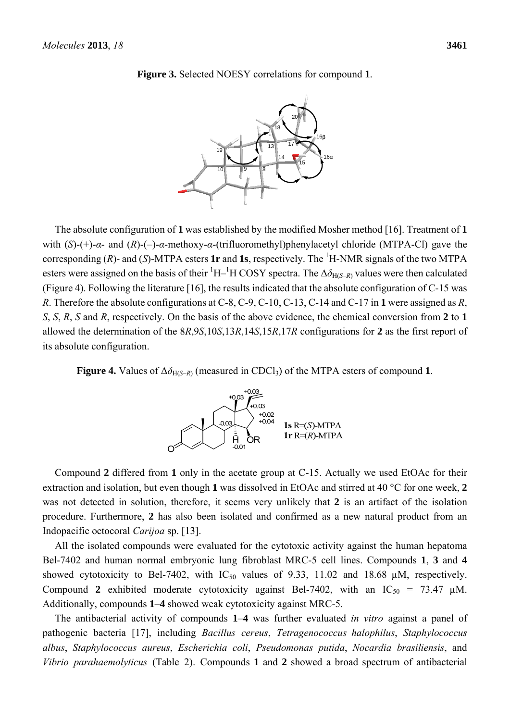

**Figure 3.** Selected NOESY correlations for compound **1**.

The absolute configuration of **1** was established by the modified Mosher method [16]. Treatment of **1** with (*S*)-(+)-*α*- and (*R*)-(–)-*α*-methoxy-*α*-(trifluoromethyl)phenylacetyl chloride (MTPA-Cl) gave the corresponding  $(R)$ - and  $(S)$ -MTPA esters **1r** and **1s**, respectively. The <sup>1</sup>H-NMR signals of the two MTPA esters were assigned on the basis of their  ${}^{1}H-{}^{1}H$  COSY spectra. The  $\Delta\delta_{H(S-R)}$  values were then calculated (Figure 4). Following the literature [16], the results indicated that the absolute configuration of C-15 was *R*. Therefore the absolute configurations at C-8, C-9, C-10, C-13, C-14 and C-17 in **1** were assigned as *R*, *S*, *S*, *R*, *S* and *R*, respectively. On the basis of the above evidence, the chemical conversion from **2** to **1** allowed the determination of the 8*R*,9*S*,10*S*,13*R*,14*S*,15*R*,17*R* configurations for **2** as the first report of its absolute configuration.

**Figure 4.** Values of  $\Delta \delta_{H(S-R)}$  (measured in CDCl<sub>3</sub>) of the MTPA esters of compound 1.



Compound **2** differed from **1** only in the acetate group at C-15. Actually we used EtOAc for their extraction and isolation, but even though **1** was dissolved in EtOAc and stirred at 40 °C for one week, **2** was not detected in solution, therefore, it seems very unlikely that **2** is an artifact of the isolation procedure. Furthermore, **2** has also been isolated and confirmed as a new natural product from an Indopacific octocoral *Carijoa* sp. [13].

All the isolated compounds were evaluated for the cytotoxic activity against the human hepatoma Bel-7402 and human normal embryonic lung fibroblast MRC-5 cell lines. Compounds **1**, **3** and **4** showed cytotoxicity to Bel-7402, with  $IC_{50}$  values of 9.33, 11.02 and 18.68  $\mu$ M, respectively. Compound 2 exhibited moderate cytotoxicity against Bel-7402, with an  $IC_{50} = 73.47 \mu M$ . Additionally, compounds **1**–**4** showed weak cytotoxicity against MRC-5.

The antibacterial activity of compounds **1**–**4** was further evaluated *in vitro* against a panel of pathogenic bacteria [17], including *Bacillus cereus*, *Tetragenococcus halophilus*, *Staphylococcus albus*, *Staphylococcus aureus*, *Escherichia coli*, *Pseudomonas putida*, *Nocardia brasiliensis*, and *Vibrio parahaemolyticus* (Table 2). Compounds **1** and **2** showed a broad spectrum of antibacterial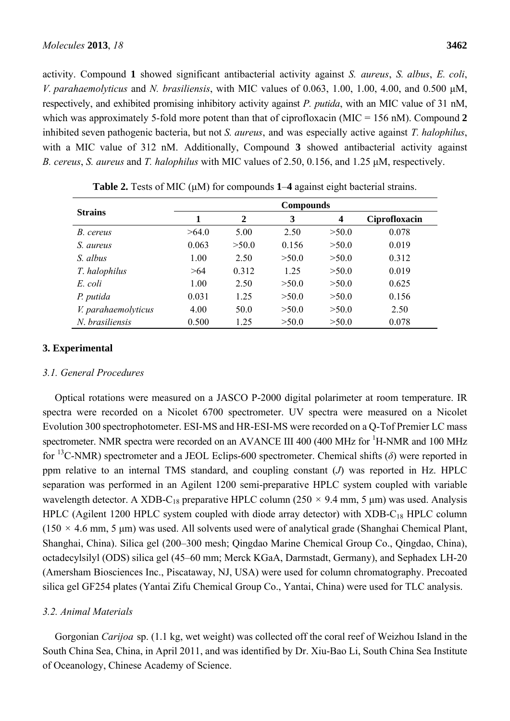activity. Compound **1** showed significant antibacterial activity against *S. aureus*, *S. albus*, *E. coli*, *V. parahaemolyticus* and *N. brasiliensis*, with MIC values of 0.063, 1.00, 1.00, 4.00, and 0.500 μM, respectively, and exhibited promising inhibitory activity against *P. putida*, with an MIC value of 31 nM, which was approximately 5-fold more potent than that of ciprofloxacin (MIC = 156 nM). Compound 2 inhibited seven pathogenic bacteria, but not *S. aureus*, and was especially active against *T. halophilus*, with a MIC value of 312 nM. Additionally, Compound **3** showed antibacterial activity against *B. cereus*, *S. aureus* and *T. halophilus* with MIC values of 2.50, 0.156, and 1.25 μM, respectively.

|                     | <b>Compounds</b> |                |       |       |               |  |
|---------------------|------------------|----------------|-------|-------|---------------|--|
| <b>Strains</b>      | 1                | $\overline{2}$ | 3     | 4     | Ciprofloxacin |  |
| B. cereus           | >64.0            | 5.00           | 2.50  | >50.0 | 0.078         |  |
| S. aureus           | 0.063            | >50.0          | 0.156 | >50.0 | 0.019         |  |
| S. albus            | 1.00             | 2.50           | >50.0 | >50.0 | 0.312         |  |
| T. halophilus       | >64              | 0.312          | 1.25  | >50.0 | 0.019         |  |
| E. coli             | 1.00             | 2.50           | >50.0 | >50.0 | 0.625         |  |
| P. putida           | 0.031            | 1.25           | >50.0 | >50.0 | 0.156         |  |
| V. parahaemolyticus | 4.00             | 50.0           | >50.0 | >50.0 | 2.50          |  |
| N. brasiliensis     | 0.500            | 1.25           | >50.0 | >50.0 | 0.078         |  |

**Table 2.** Tests of MIC (μM) for compounds **1**–**4** against eight bacterial strains.

# **3. Experimental**

# *3.1. General Procedures*

Optical rotations were measured on a JASCO P-2000 digital polarimeter at room temperature. IR spectra were recorded on a Nicolet 6700 spectrometer. UV spectra were measured on a Nicolet Evolution 300 spectrophotometer. ESI-MS and HR-ESI-MS were recorded on a Q-Tof Premier LC mass spectrometer. NMR spectra were recorded on an AVANCE III 400 (400 MHz for <sup>1</sup>H-NMR and 100 MHz for 13C-NMR) spectrometer and a JEOL Eclips-600 spectrometer. Chemical shifts (*δ*) were reported in ppm relative to an internal TMS standard, and coupling constant (*J*) was reported in Hz. HPLC separation was performed in an Agilent 1200 semi-preparative HPLC system coupled with variable wavelength detector. A XDB-C<sub>18</sub> preparative HPLC column (250  $\times$  9.4 mm, 5 µm) was used. Analysis HPLC (Agilent 1200 HPLC system coupled with diode array detector) with XDB-C<sub>18</sub> HPLC column ( $150 \times 4.6$  mm, 5 µm) was used. All solvents used were of analytical grade (Shanghai Chemical Plant, Shanghai, China). Silica gel (200–300 mesh; Qingdao Marine Chemical Group Co., Qingdao, China), octadecylsilyl (ODS) silica gel (45–60 mm; Merck KGaA, Darmstadt, Germany), and Sephadex LH-20 (Amersham Biosciences Inc., Piscataway, NJ, USA) were used for column chromatography. Precoated silica gel GF254 plates (Yantai Zifu Chemical Group Co., Yantai, China) were used for TLC analysis.

## *3.2. Animal Materials*

Gorgonian *Carijoa* sp. (1.1 kg, wet weight) was collected off the coral reef of Weizhou Island in the South China Sea, China, in April 2011, and was identified by Dr. Xiu-Bao Li, South China Sea Institute of Oceanology, Chinese Academy of Science.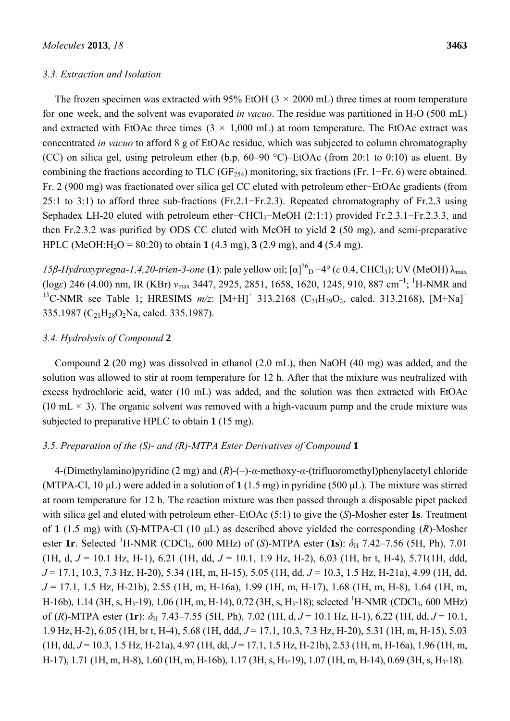## *3.3. Extraction and Isolation*

The frozen specimen was extracted with 95% EtOH ( $3 \times 2000$  mL) three times at room temperature for one week, and the solvent was evaporated *in vacuo*. The residue was partitioned in H<sub>2</sub>O (500 mL) and extracted with EtOAc three times  $(3 \times 1,000 \text{ mL})$  at room temperature. The EtOAc extract was concentrated *in vacuo* to afford 8 g of EtOAc residue, which was subjected to column chromatography (CC) on silica gel, using petroleum ether (b.p. 60–90 °C)–EtOAc (from 20:1 to 0:10) as eluent. By combining the fractions according to TLC ( $GF<sub>254</sub>$ ) monitoring, six fractions (Fr. 1–Fr. 6) were obtained. Fr. 2 (900 mg) was fractionated over silica gel CC eluted with petroleum ether−EtOAc gradients (from 25:1 to 3:1) to afford three sub-fractions (Fr.2.1−Fr.2.3). Repeated chromatography of Fr.2.3 using Sephadex LH-20 eluted with petroleum ether–CHCl<sub>3</sub>–MeOH (2:1:1) provided Fr.2.3.1–Fr.2.3.3, and then Fr.2.3.2 was purified by ODS CC eluted with MeOH to yield **2** (50 mg), and semi-preparative HPLC (MeOH:H<sub>2</sub>O = 80:20) to obtain 1 (4.3 mg), 3 (2.9 mg), and 4 (5.4 mg).

*15β-Hydroxypregna-1,4,20-trien-3-one* (**1**): pale yellow oil; [α]<sup>26</sup><sub>D</sub> −4° (*c* 0.4, CHCl<sub>3</sub>); UV (MeOH) λ<sub>max</sub> (log*ε*) 246 (4.00) nm, IR (KBr) *ν*max 3447, 2925, 2851, 1658, 1620, 1245, 910, 887 cm<sup>−</sup><sup>1</sup> ; 1 H-NMR and <sup>13</sup>C-NMR see Table 1; HRESIMS  $m/z$ :  $[M+H]^+$  313.2168 (C<sub>21</sub>H<sub>29</sub>O<sub>2</sub>, calcd. 313.2168),  $[M+Na]^+$ 335.1987 (C<sub>21</sub>H<sub>28</sub>O<sub>2</sub>Na, calcd. 335.1987).

# *3.4. Hydrolysis of Compound* **2**

Compound **2** (20 mg) was dissolved in ethanol (2.0 mL), then NaOH (40 mg) was added, and the solution was allowed to stir at room temperature for 12 h. After that the mixture was neutralized with excess hydrochloric acid, water (10 mL) was added, and the solution was then extracted with EtOAc (10 mL  $\times$  3). The organic solvent was removed with a high-vacuum pump and the crude mixture was subjected to preparative HPLC to obtain **1** (15 mg).

# *3.5. Preparation of the (S)- and (R)-MTPA Ester Derivatives of Compound* **1**

4-(Dimethylamino)pyridine (2 mg) and (*R*)-(–)-*α*-methoxy-*α*-(trifluoromethyl)phenylacetyl chloride (MTPA-Cl, 10 μL) were added in a solution of **1** (1.5 mg) in pyridine (500 μL). The mixture was stirred at room temperature for 12 h. The reaction mixture was then passed through a disposable pipet packed with silica gel and eluted with petroleum ether–EtOAc (5:1) to give the (*S*)-Mosher ester **1s**. Treatment of **1** (1.5 mg) with (*S*)-MTPA-Cl (10 μL) as described above yielded the corresponding (*R*)-Mosher ester 1r. Selected <sup>1</sup>H-NMR (CDCl<sub>3</sub>, 600 MHz) of (*S*)-MTPA ester (1s):  $\delta_H$  7.42–7.56 (5H, Ph), 7.01 (1H, d, *J* = 10.1 Hz, H-1), 6.21 (1H, dd, *J* = 10.1, 1.9 Hz, H-2), 6.03 (1H, br t, H-4), 5.71(1H, ddd, *J* = 17.1, 10.3, 7.3 Hz, H-20), 5.34 (1H, m, H-15), 5.05 (1H, dd, *J* = 10.3, 1.5 Hz, H-21a), 4.99 (1H, dd, *J* = 17.1, 1.5 Hz, H-21b), 2.55 (1H, m, H-16a), 1.99 (1H, m, H-17), 1.68 (1H, m, H-8), 1.64 (1H, m, H-16b), 1.14 (3H, s, H<sub>3</sub>-19), 1.06 (1H, m, H-14), 0.72 (3H, s, H<sub>3</sub>-18); selected <sup>1</sup>H-NMR (CDCl<sub>3</sub>, 600 MHz) of (*R*)-MTPA ester (1**r**):  $\delta_H$  7.43–7.55 (5H, Ph), 7.02 (1H, d,  $J = 10.1$  Hz, H-1), 6.22 (1H, dd,  $J = 10.1$ , 1.9 Hz, H-2), 6.05 (1H, br t, H-4), 5.68 (1H, ddd, *J* = 17.1, 10.3, 7.3 Hz, H-20), 5.31 (1H, m, H-15), 5.03 (1H, dd, *J* = 10.3, 1.5 Hz, H-21a), 4.97 (1H, dd, *J* = 17.1, 1.5 Hz, H-21b), 2.53 (1H, m, H-16a), 1.96 (1H, m, H-17), 1.71 (1H, m, H-8), 1.60 (1H, m, H-16b), 1.17 (3H, s, H3-19), 1.07 (1H, m, H-14), 0.69 (3H, s, H3-18).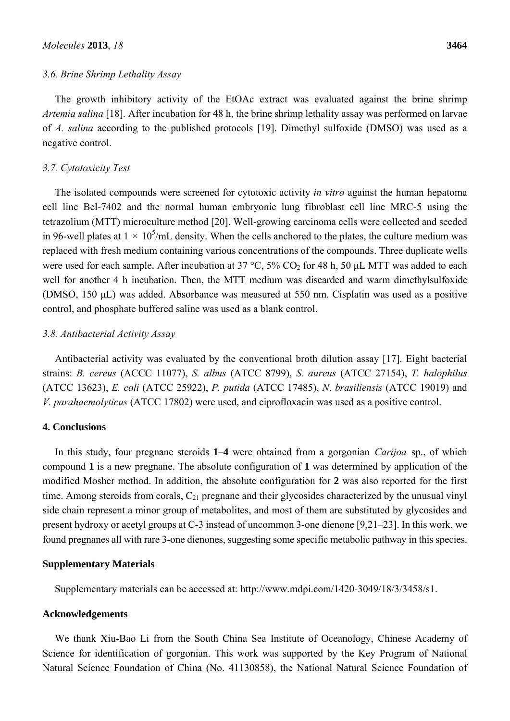### *3.6. Brine Shrimp Lethality Assay*

The growth inhibitory activity of the EtOAc extract was evaluated against the brine shrimp *Artemia salina* [18]. After incubation for 48 h, the brine shrimp lethality assay was performed on larvae of *A. salina* according to the published protocols [19]. Dimethyl sulfoxide (DMSO) was used as a negative control.

## *3.7. Cytotoxicity Test*

The isolated compounds were screened for cytotoxic activity *in vitro* against the human hepatoma cell line Bel-7402 and the normal human embryonic lung fibroblast cell line MRC-5 using the tetrazolium (MTT) microculture method [20]. Well-growing carcinoma cells were collected and seeded in 96-well plates at  $1 \times 10^5$ /mL density. When the cells anchored to the plates, the culture medium was replaced with fresh medium containing various concentrations of the compounds. Three duplicate wells were used for each sample. After incubation at 37 °C, 5% CO<sub>2</sub> for 48 h, 50  $\mu$ L MTT was added to each well for another 4 h incubation. Then, the MTT medium was discarded and warm dimethylsulfoxide (DMSO, 150 μL) was added. Absorbance was measured at 550 nm. Cisplatin was used as a positive control, and phosphate buffered saline was used as a blank control.

# *3.8. Antibacterial Activity Assay*

Antibacterial activity was evaluated by the conventional broth dilution assay [17]. Eight bacterial strains: *B. cereus* (ACCC 11077), *S. albus* (ATCC 8799), *S. aureus* (ATCC 27154), *T. halophilus*  (ATCC 13623), *E. coli* (ATCC 25922), *P. putida* (ATCC 17485), *N*. *brasiliensis* (ATCC 19019) and *V. parahaemolyticus* (ATCC 17802) were used, and ciprofloxacin was used as a positive control.

# **4. Conclusions**

In this study, four pregnane steroids **1**–**4** were obtained from a gorgonian *Carijoa* sp., of which compound **1** is a new pregnane. The absolute configuration of **1** was determined by application of the modified Mosher method. In addition, the absolute configuration for **2** was also reported for the first time. Among steroids from corals,  $C_{21}$  pregnane and their glycosides characterized by the unusual vinyl side chain represent a minor group of metabolites, and most of them are substituted by glycosides and present hydroxy or acetyl groups at C-3 instead of uncommon 3-one dienone [9,21–23]. In this work, we found pregnanes all with rare 3-one dienones, suggesting some specific metabolic pathway in this species.

## **Supplementary Materials**

Supplementary materials can be accessed at: http://www.mdpi.com/1420-3049/18/3/3458/s1.

## **Acknowledgements**

We thank Xiu-Bao Li from the South China Sea Institute of Oceanology, Chinese Academy of Science for identification of gorgonian. This work was supported by the Key Program of National Natural Science Foundation of China (No. 41130858), the National Natural Science Foundation of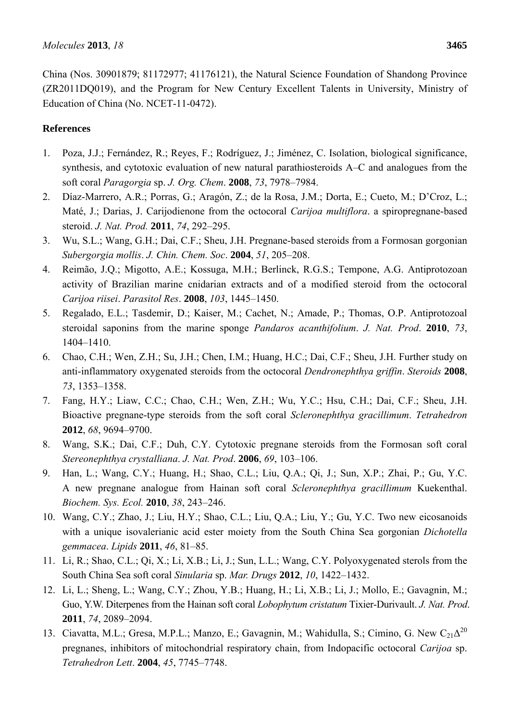China (Nos. 30901879; 81172977; 41176121), the Natural Science Foundation of Shandong Province (ZR2011DQ019), and the Program for New Century Excellent Talents in University, Ministry of Education of China (No. NCET-11-0472).

# **References**

- 1. Poza, J.J.; Fernández, R.; Reyes, F.; Rodríguez, J.; Jiménez, C. Isolation, biological significance, synthesis, and cytotoxic evaluation of new natural parathiosteroids A–C and analogues from the soft coral *Paragorgia* sp. *J. Org. Chem*. **2008**, *73*, 7978–7984.
- 2. Díaz-Marrero, A.R.; Porras, G.; Aragón, Z.; de la Rosa, J.M.; Dorta, E.; Cueto, M.; D'Croz, L.; Maté, J.; Darias, J. Carijodienone from the octocoral *Carijoa multiflora*. a spiropregnane-based steroid. *J. Nat. Prod.* **2011**, *74*, 292–295.
- 3. Wu, S.L.; Wang, G.H.; Dai, C.F.; Sheu, J.H. Pregnane-based steroids from a Formosan gorgonian *Subergorgia mollis*. *J. Chin. Chem. Soc*. **2004**, *51*, 205–208.
- 4. Reimão, J.Q.; Migotto, A.E.; Kossuga, M.H.; Berlinck, R.G.S.; Tempone, A.G. Antiprotozoan activity of Brazilian marine cnidarian extracts and of a modified steroid from the octocoral *Carijoa riisei*. *Parasitol Res*. **2008**, *103*, 1445–1450.
- 5. Regalado, E.L.; Tasdemir, D.; Kaiser, M.; Cachet, N.; Amade, P.; Thomas, O.P. Antiprotozoal steroidal saponins from the marine sponge *Pandaros acanthifolium*. *J. Nat. Prod*. **2010**, *73*, 1404–1410.
- 6. Chao, C.H.; Wen, Z.H.; Su, J.H.; Chen, I.M.; Huang, H.C.; Dai, C.F.; Sheu, J.H. Further study on anti-inflammatory oxygenated steroids from the octocoral *Dendronephthya griffin*. *Steroids* **2008**, *73*, 1353–1358.
- 7. Fang, H.Y.; Liaw, C.C.; Chao, C.H.; Wen, Z.H.; Wu, Y.C.; Hsu, C.H.; Dai, C.F.; Sheu, J.H. Bioactive pregnane-type steroids from the soft coral *Scleronephthya gracillimum*. *Tetrahedron* **2012**, *68*, 9694–9700.
- 8. Wang, S.K.; Dai, C.F.; Duh, C.Y. Cytotoxic pregnane steroids from the Formosan soft coral *Stereonephthya crystalliana*. *J. Nat. Prod*. **2006**, *69*, 103–106.
- 9. Han, L.; Wang, C.Y.; Huang, H.; Shao, C.L.; Liu, Q.A.; Qi, J.; Sun, X.P.; Zhai, P.; Gu, Y.C. A new pregnane analogue from Hainan soft coral *Scleronephthya gracillimum* Kuekenthal. *Biochem. Sys. Ecol.* **2010**, *38*, 243–246.
- 10. Wang, C.Y.; Zhao, J.; Liu, H.Y.; Shao, C.L.; Liu, Q.A.; Liu, Y.; Gu, Y.C. Two new eicosanoids with a unique isovalerianic acid ester moiety from the South China Sea gorgonian *Dichotella gemmacea*. *Lipids* **2011**, *46*, 81–85.
- 11. Li, R.; Shao, C.L.; Qi, X.; Li, X.B.; Li, J.; Sun, L.L.; Wang, C.Y. Polyoxygenated sterols from the South China Sea soft coral *Sinularia* sp. *Mar. Drugs* **2012**, *10*, 1422–1432.
- 12. Li, L.; Sheng, L.; Wang, C.Y.; Zhou, Y.B.; Huang, H.; Li, X.B.; Li, J.; Mollo, E.; Gavagnin, M.; Guo, Y.W. Diterpenes from the Hainan soft coral *Lobophytum cristatum* Tixier-Durivault. *J. Nat. Prod*. **2011**, *74*, 2089–2094.
- 13. Ciavatta, M.L.; Gresa, M.P.L.; Manzo, E.; Gavagnin, M.; Wahidulla, S.; Cimino, G. New  $C_{21}\Delta^{20}$ pregnanes, inhibitors of mitochondrial respiratory chain, from Indopacific octocoral *Carijoa* sp. *Tetrahedron Lett*. **2004**, *45*, 7745–7748.